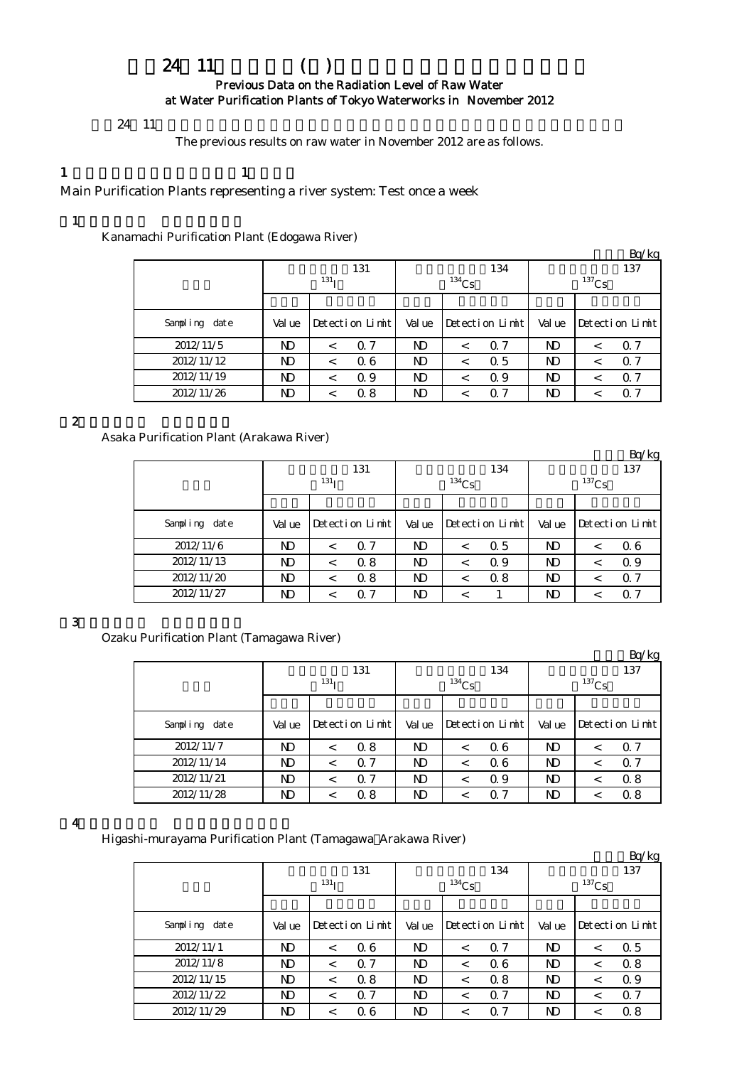# $24$  11 () Previous Data on the Radiation Level of Raw Water at Water Purification Plants of Tokyo Waterworks in November 2012

#### $24 \t11$

The previous results on raw water in November 2012 are as follows.

1  $\qquad \qquad 1$ 

Main Purification Plants representing a river system: Test once a week

# $(1)$

Kanamachi Purification Plant (Edogawa River)

|               |                  |         |                 |        |          |                 |          |   | Bq/kg           |  |
|---------------|------------------|---------|-----------------|--------|----------|-----------------|----------|---|-----------------|--|
|               |                  |         | 131             |        |          | 134             | 137      |   |                 |  |
|               | 131 <sub>T</sub> |         |                 |        | $134$ Cs |                 | $137$ Cs |   |                 |  |
|               |                  |         |                 |        |          |                 |          |   |                 |  |
| Sampling date | Val ue           |         | Detection Limit | Val ue |          | Detection Limit | Val ue   |   | Detection Limit |  |
| 2012/11/5     | ND               |         | Q 7             | ND     | ←        | 0.7             | ND       | < | 0. Z            |  |
| 2012/11/12    | ND               |         | Q 6             | ND     | ≺        | 0.5             | ND       | < | 0.7             |  |
| 2012/11/19    | ND               | $\,<\,$ | Q 9             | ND     | $\,<\,$  | Q 9             | ND       | < | Q 7             |  |
| 2012/11/26    | ND               |         | 0.8             | ND     | <        | $\Omega$ 7      | ND       | ← | Q 7             |  |

### $\mathbf 2$

Asaka Purification Plant (Arakawa River)

|               |        |                  |                |          |                 |          |         | Bq/kg           |  |
|---------------|--------|------------------|----------------|----------|-----------------|----------|---------|-----------------|--|
|               |        | 131              |                |          | 134             | 137      |         |                 |  |
|               |        | 131 <sub>I</sub> |                | $134$ Cs |                 | $137$ Cs |         |                 |  |
|               |        |                  |                |          |                 |          |         |                 |  |
| Sampling date | Val ue | Detection Limit  | Value          |          | Detection Limit | Val ue   |         | Detection Limit |  |
| 2012/11/6     | ND     | Q 7<br>$\,<\,$   | ND             | ≺        | 0.5             | ND       | $\,<\,$ | 06              |  |
| 2012/11/13    | ND     | 0.8<br>$\,<\,$   | N <sub>D</sub> |          | Q 9             | ND       | $\,<\,$ | 0.9             |  |
| 2012/11/20    | ND     | 0.8<br>$\,<\,$   | N <sub>D</sub> |          | 0.8             | ND       | $\,<\,$ | $\Omega$ 7      |  |
| 2012/11/27    | ND     | 0.7<br><         | ND             |          |                 | ND       |         | $\Omega$ 7      |  |

### $\overline{\mathbf{3}}$

Ozaku Purification Plant (Tamagawa River)

|                   |        |                  |                 |                |          |                 |                 |         | Bq/kg           |  |
|-------------------|--------|------------------|-----------------|----------------|----------|-----------------|-----------------|---------|-----------------|--|
|                   |        | 131 <sub>T</sub> | 131             |                | $134$ Cs | 134             | 137<br>$137$ Cs |         |                 |  |
|                   |        |                  |                 |                |          |                 |                 |         |                 |  |
| Sampling<br>dat e | Val ue |                  | Detection Limit | Val ue         |          | Detection Limit | Val ue          |         | Detection Limit |  |
| 2012/11/7         | ND     | $\prec$          | 0.8             | N <sub>D</sub> | $\,<\,$  | 06              | N)              | $\,<\,$ | 0.7             |  |
| 2012/11/14        | ND     | $\,<\,$          | Q 7             | ND             | $\,<\,$  | 06              | ND              | $\,<\,$ | $\Omega$ 7      |  |
| 2012/11/21        | ND     | $\,<\,$          | 0.7             | ND             | <        | 0.9             | N)              | <       | 0.8             |  |
| 2012/11/28        | ND     |                  | 0.8             | ND             |          | $\Omega$ 7      | ND              | <       | 0.8             |  |

### $\overline{4}$

Higashi-murayama Purification Plant (Tamagawa Arakawa River)

|               |        |                  |                 |                |          |                 |          |         | Bq/kg           |  |
|---------------|--------|------------------|-----------------|----------------|----------|-----------------|----------|---------|-----------------|--|
|               |        |                  | 131             |                |          | 134             | 137      |         |                 |  |
|               |        | 131 <sub>T</sub> |                 |                | $134$ Cs |                 | $137$ Cs |         |                 |  |
|               |        |                  |                 |                |          |                 |          |         |                 |  |
| Sampling date | Val ue |                  | Detection Limit | Value          |          | Detection Limit | Value    |         | Detection Limit |  |
| 2012/11/1     | ND     | $\,<\,$          | 06              | ND             | $\,<\,$  | 0.7             | ND       | $\,<\,$ | 0.5             |  |
| 2012/11/8     | ND     | $\,<\,$          | 0.7             | N <sub>D</sub> | $\,<\,$  | 0.6             | ND       | $\,<\,$ | 0.8             |  |
| 2012/11/15    | ND     | $\,<\,$          | 0.8             | N <sub>D</sub> | $\,<\,$  | 0.8             | ND       | $\,<\,$ | 0.9             |  |
| 2012/11/22    | ND     | $\,<\,$          | 0.7             | N <sub>D</sub> | <        | Q 7             | ND       | $\,<\,$ | 0.7             |  |
| 2012/11/29    | ND     | $\,<\,$          | 0.6             | N)             | ←        | 0.7             | ND       | $\,<\,$ | 0.8             |  |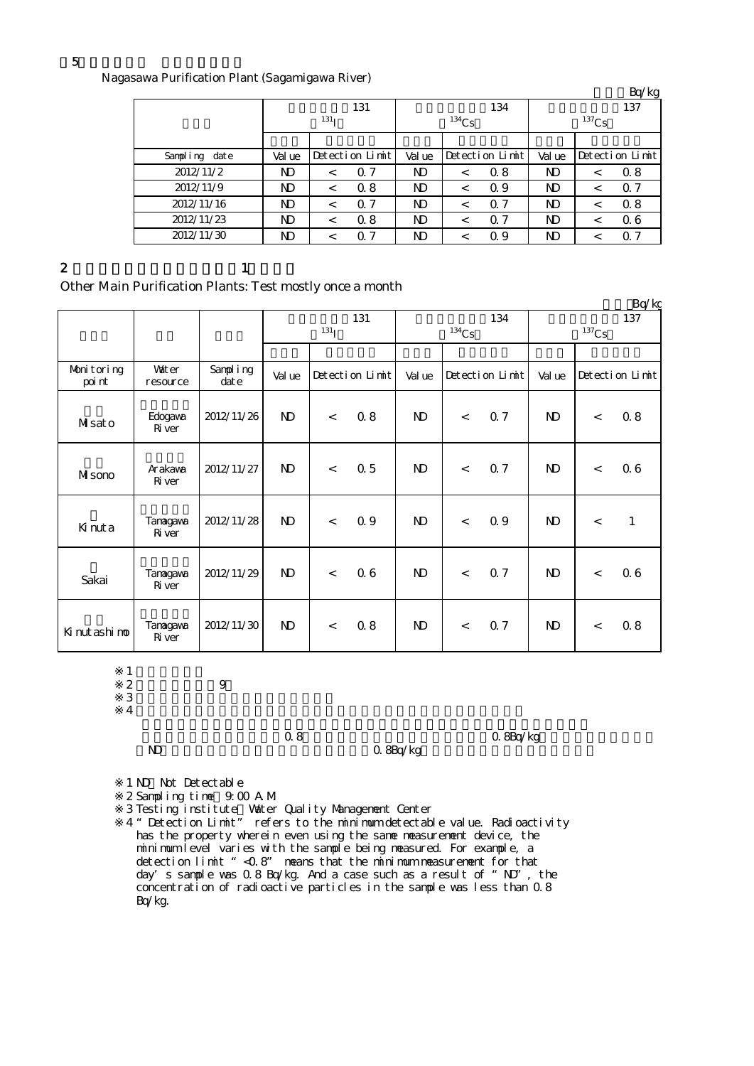Nagasawa Purification Plant (Sagamigawa River)

|               |        | $\mathbf{C}$     |                 |       |          |                 |                 |         | Bq/kg           |  |
|---------------|--------|------------------|-----------------|-------|----------|-----------------|-----------------|---------|-----------------|--|
|               |        |                  | 131             |       |          | 134             | 137<br>$137$ Cs |         |                 |  |
|               |        | 131 <sub>T</sub> |                 |       | $134$ Cs |                 |                 |         |                 |  |
|               |        |                  |                 |       |          |                 |                 |         |                 |  |
| Sampling date | Val ue |                  | Detection Limit | Value |          | Detection Limit | Value           |         | Detection Limit |  |
| 2012/11/2     | ND     | $\,<\,$          | 0.7             | ND    | $\,<\,$  | 0.8             | ND              | $\,<\,$ | 0.8             |  |
| 2012/11/9     | ND     | $\,<\,$          | 0.8             | ND    | $\,<\,$  | Q 9             | ND              | $\,<\,$ | $\alpha$ 7      |  |
| 2012/11/16    | ND     | $\,<\,$          | 0.7             | ND    | $\,<\,$  | 0.7             | ND              | $\,<\,$ | 0.8             |  |
| 2012/11/23    | N)     | $\,<\,$          | 0.8             | N)    | $\,<\,$  | 0.7             | N)              | $\,<\,$ | 06              |  |
| 2012/11/30    | ND     | $\,<\,$          | 0.7             | ND    | ≺        | 0.9             | ND              | $\,<\,$ | 0.7             |  |

#### 2 and  $\lambda$  1

Other Main Purification Plants: Test mostly once a month

|                      |                           |                  |                         | ◡                        |                 |              |          |                 |                 |         | Bq/kg           |
|----------------------|---------------------------|------------------|-------------------------|--------------------------|-----------------|--------------|----------|-----------------|-----------------|---------|-----------------|
|                      |                           |                  | 131<br>131 <sub>I</sub> |                          |                 |              | $134$ Cs | 134             | 137<br>$137$ Cs |         |                 |
| Monitoring<br>poi nt | <b>Vater</b><br>resource  | Sampling<br>date | Val ue                  |                          | Detection Limit | Val ue       |          | Detection Limit | Val ue          |         | Detection Limit |
| Misato               | Edogava<br>River          | 2012/11/26       | $\mathbf{D}$            | $\lt$                    | 0.8             | $\mathbf{N}$ | $\,<$    | 0.7             | $\mathbf{N}$    | $\,<\,$ | 08              |
| MIsono               | Arakawa<br><b>R</b> iver  | 2012/11/27       | $\mathbf{D}$            | $\overline{\phantom{a}}$ | 0.5             | $\mathbf{N}$ | $\lt$    | 0.7             | $\mathbf{N}$    | $\prec$ | 06              |
| Kinuta               | Tanagawa<br><b>R</b> iver | 2012/11/28       | $\mathbf{D}$            | $\lt$                    | 0.9             | $\mathbf{N}$ | $\,<$    | 0.9             | $\mathbf{N}$    | $\,<$   | $\mathbf{1}$    |
| Sakai                | Tanagawa<br><b>R</b> iver | 2012/11/29       | $\mathbf{D}$            | $\lt$                    | 06              | $\mathbf{N}$ | $\lt$    | 0.7             | $\mathbf{N}$    | $\prec$ | 06              |
| Kinutashino          | Tanagawa<br>Ri ver        | 2012/11/30       | $\mathbf{D}$            | $\lt$                    | 0.8             | $\mathbf{D}$ | $\,<$    | 0.7             | $\mathbf{N}$    | $\lt$   | 08              |

 $\begin{array}{ccc} 2 & 9 \\ 3 & \end{array}$  $3 \thinspace$ 

 $\mathbf{1}$ 

※4

Q 8Bq/kg

 $\begin{array}{ccc} 0.8 & \hspace{1.5cm} 0.8 & \hspace{1.5cm} 0.8 \text{Bq/kg} \end{array}$ 

1 ND Not Detectable

- $\mathbb{Z}$ Sampling time:  $9.00$  AM.
- $\mathbb{R}^3$ Testing institute Water Quality Management Center
- ※4 "Detection Limit" refers to the minimum detectable value. Radioactivity has the property wherein even using the same measurement device, the minimum level varies with the sample being measured. For example, a detection limit "<0.8" means that the minimum measurement for that day's sample was  $0.8$  Bq/kg. And a case such as a result of "ND", the concentration of radioactive particles in the sample was less than 0.8 Bq/kg.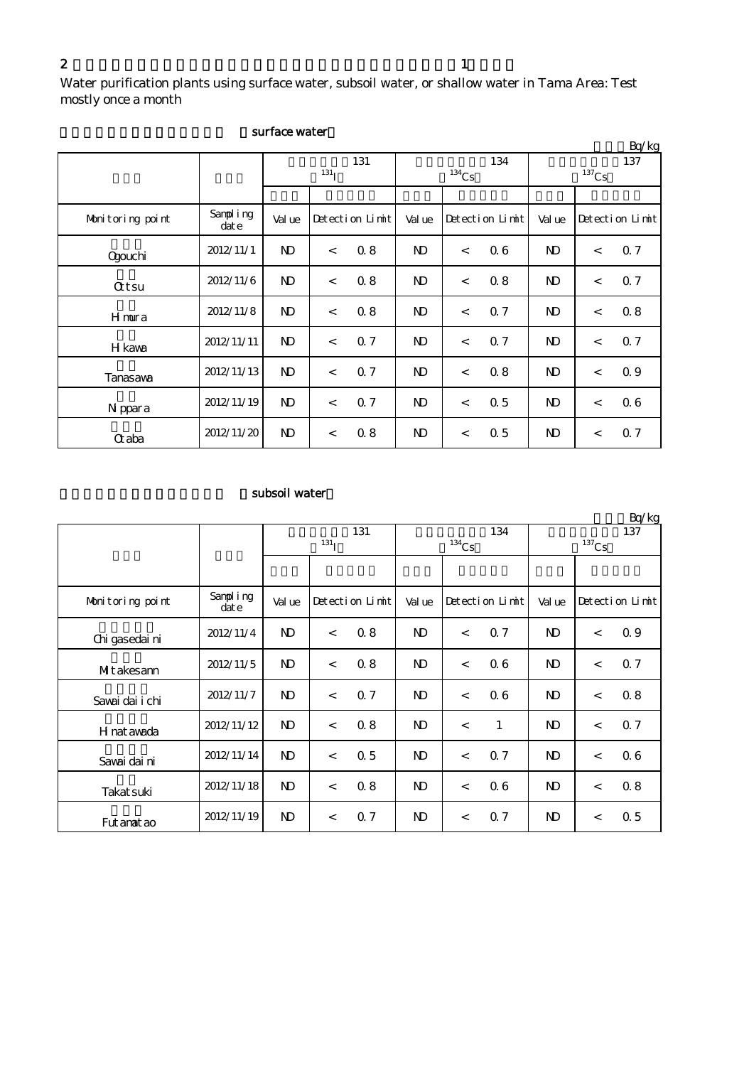Water purification plants using surface water, subsoil water, or shallow water in Tama Area: Test mostly once a month

|                  |                   |                         |       |                 |                |                          |                 |                 |         | Bq/kg           |
|------------------|-------------------|-------------------------|-------|-----------------|----------------|--------------------------|-----------------|-----------------|---------|-----------------|
|                  |                   | 131<br>131 <sub>T</sub> |       |                 |                | $134$ Cs                 | 134             | 137<br>$137$ Cs |         |                 |
|                  |                   |                         |       |                 |                |                          |                 |                 |         |                 |
| Monitoring point | Sampling<br>dat e | Val ue                  |       | Detection Limit | Val ue         |                          | Detection Limit | Val ue          |         | Detection Limit |
| <b>Ogouchi</b>   | 2012/11/1         | $\mathbf{D}$            | $\lt$ | 0.8             | N <sub>D</sub> | $\,<\,$                  | 06              | N)              | $\,<$   | 0.7             |
| <b>Qtsu</b>      | 2012/11/6         | $\mathbf{N}$            | $\lt$ | 0.8             | N <sub>D</sub> | $\overline{\phantom{0}}$ | 0.8             | N)              | $\lt$   | 0.7             |
| Hmura            | 2012/11/8         | N)                      | $\,<$ | 0.8             | N <sub>D</sub> | $\,<\,$                  | 0.7             | N)              | $\,<$   | 0.8             |
| H kawa           | 2012/11/11        | $\mathbf{D}$            | $\lt$ | 0.7             | N <sub>D</sub> | $\overline{\phantom{0}}$ | 0.7             | N)              | $\,<\,$ | 0.7             |
| Tanasawa         | 2012/11/13        | $\mathbf{D}$            | $\lt$ | 0.7             | N <sub>D</sub> | $\overline{\phantom{0}}$ | 0.8             | N <sub>D</sub>  | $\lt$   | 0.9             |
| N ppara          | 2012/11/19        | $\mathbf{N}$            | $\,<$ | 0.7             | N)             | $\,<$                    | 0.5             | N)              | $\,<$   | 06              |
| <b>G</b> aba     | 2012/11/20        | $\mathbf{N}$            | $\,<$ | 0.8             | N)             | $\,<\,$                  | 0.5             | $\mathbf{D}$    | $\,<$   | 0.7             |

### surface water

# subsoil water

|                  |                  |                |                         |                 |                |            |                 |                |          | Bq/kg           |  |
|------------------|------------------|----------------|-------------------------|-----------------|----------------|------------|-----------------|----------------|----------|-----------------|--|
|                  |                  |                | 131<br>131 <sub>I</sub> |                 |                |            | 134             | 137            |          |                 |  |
|                  |                  |                |                         |                 |                | $^{134}Cs$ |                 |                | $137$ Cs |                 |  |
|                  |                  |                |                         |                 |                |            |                 |                |          |                 |  |
| Monitoring point | Sampling<br>date | Val ue         |                         | Detection Limit | Val ue         |            | Detection Limit | Val ue         |          | Detection Limit |  |
| Chi gasedai ni   | 2012/11/4        | $\mathbf{D}$   | $\prec$                 | 0.8             | $\mathbf{D}$   | $\lt$      | 0.7             | N <sub>D</sub> | $\,<$    | 0.9             |  |
| Mitakesann       | 2012/11/5        | $\mathbf{D}$   | $\prec$                 | 0.8             | N <sub>D</sub> | $\lt$      | 0.6             | $\mathbf{D}$   | $\lt$    | 0.7             |  |
| Sawai dai i chi  | 2012/11/7        | $\mathbf{D}$   | $\,<\,$                 | 0.7             | N <sub>D</sub> | $\lt$      | 06              | $\mathbf{D}$   | $\lt$    | 0.8             |  |
| H nat awada      | 2012/11/12       | $\mathbf{D}$   | $\prec$                 | 0.8             | N <sub>D</sub> | $\lt$      | $\mathbf{1}$    | $\mathbf{D}$   | $\,<$    | 0.7             |  |
| Savai dai ni     | 2012/11/14       | N <sub>D</sub> | $\,<\,$                 | 0.5             | N <sub>D</sub> | $\lt$      | 0.7             | N <sub>D</sub> | $\,<$    | 06              |  |
| Takat suki       | 2012/11/18       | N <sub>D</sub> | $\prec$                 | 0.8             | N <sub>D</sub> | $\lt$      | 0.6             | $\mathbf{D}$   | $\,<$    | 0.8             |  |
| Fut anat ao      | 2012/11/19       | N <sub>D</sub> | $\,<\,$                 | 0.7             | N <sub>D</sub> | $\lt$      | 0.7             | N <sub>D</sub> | $\,<$    | $\Omega$ 5      |  |